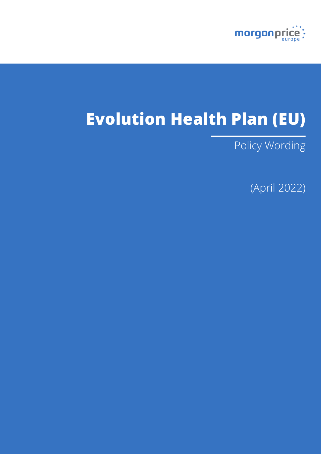

# **Evolution Health Plan (EU)**

Policy Wording

(April 2022)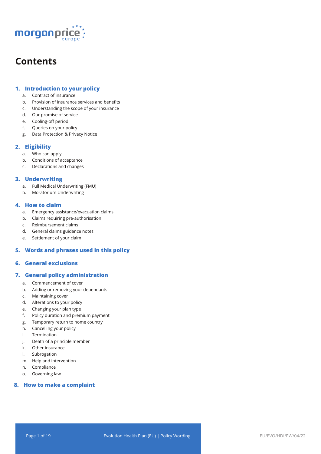

## **Contents**

## **1. Introduction to your policy**

- a. Contract of insurance
- b. Provision of insurance services and benefits
- c. Understanding the scope of your insurance
- d. Our promise of service
- e. Cooling-off period
- f. Queries on your policy
- g. Data Protection & Privacy Notice

## **2. Eligibility**

- a. Who can apply
- b. Conditions of acceptance
- c. Declarations and changes

## **3. Underwriting**

- a. Full Medical Underwriting (FMU)
- b. Moratorium Underwriting

## **4. How to claim**

- a. Emergency assistance/evacuation claims
- b. Claims requiring pre-authorisation
- c. Reimbursement claims
- d. General claims guidance notes
- e. Settlement of your claim

## **5. Words and phrases used in this policy**

## **6. General exclusions**

## **7. General policy administration**

- a. Commencement of cover
- b. Adding or removing your dependants
- c. Maintaining cover
- d. Alterations to your policy
- e. Changing your plan type
- f. Policy duration and premium payment
- g. Temporary return to home country
- h. Cancelling your policy
- i. Termination
- j. Death of a principle member
- k. Other insurance
- l. Subrogation
- m. Help and intervention
- n. Compliance
- o. Governing law

## **8. How to make a complaint**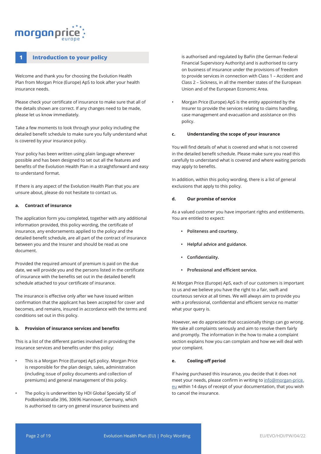## morganpri

## **1 Introduction to your policy**

Welcome and thank you for choosing the Evolution Health Plan from Morgan Price (Europe) ApS to look after your health insurance needs.

Please check your certificate of insurance to make sure that all of the details shown are correct. If any changes need to be made, please let us know immediately.

Take a few moments to look through your policy including the detailed benefit schedule to make sure you fully understand what is covered by your insurance policy.

Your policy has been written using plain language wherever possible and has been designed to set out all the features and benefits of the Evolution Health Plan in a straightforward and easy to understand format.

If there is any aspect of the Evolution Health Plan that you are unsure about, please do not hesitate to contact us.

## **a. Contract of insurance**

The application form you completed, together with any additional information provided, this policy wording, the certificate of insurance, any endorsements applied to the policy and the detailed benefit schedule, are all part of the contract of insurance between you and the Insurer and should be read as one document.

Provided the required amount of premium is paid on the due date, we will provide you and the persons listed in the certificate of insurance with the benefits set out in the detailed benefit schedule attached to your certificate of insurance.

The insurance is effective only after we have issued written confirmation that the applicant has been accepted for cover and becomes, and remains, insured in accordance with the terms and conditions set out in this policy.

#### **b. Provision of insurance services and benefits**

This is a list of the different parties involved in providing the insurance services and benefits under this policy:

- This is a Morgan Price (Europe) ApS policy. Morgan Price is responsible for the plan design, sales, administration (including issue of policy documents and collection of premiums) and general management of this policy.
- The policy is underwritten by HDI Global Specialty SE of Podbielskistraße 396, 30696 Hannover, Germany, which is authorised to carry on general insurance business and

is authorised and regulated by BaFin (the German Federal Financial Supervisory Authority) and is authorised to carry on business of insurance under the provisions of freedom to provide services in connection with Class 1 – Accident and Class 2 – Sickness, in all the member states of the European Union and of the European Economic Area.

• Morgan Price (Europe) ApS is the entity appointed by the Insurer to provide the services relating to claims handling, case management and evacuation and assistance on this policy.

#### **c. Understanding the scope of your insurance**

You will find details of what is covered and what is not covered in the detailed benefit schedule. Please make sure you read this carefully to understand what is covered and where waiting periods may apply to benefits.

In addition, within this policy wording, there is a list of general exclusions that apply to this policy.

## **d. Our promise of service**

As a valued customer you have important rights and entitlements. You are entitled to expect:

- **• Politeness and courtesy.**
- **• Helpful advice and guidance.**
- **• Confidentiality.**
- **• Professional and efficient service.**

At Morgan Price (Europe) ApS, each of our customers is important to us and we believe you have the right to a fair, swift and courteous service at all times. We will always aim to provide you with a professional, confidential and efficient service no matter what your query is.

However, we do appreciate that occasionally things can go wrong. We take all complaints seriously and aim to resolve them fairly and promptly. The information in the how to make a complaint section explains how you can complain and how we will deal with your complaint.

#### **e. Cooling-off period**

If having purchased this insurance, you decide that it does not meet your needs, please confirm in writing to info@morgan-price. eu within 14 days of receipt of your documentation, that you wish to cancel the insurance.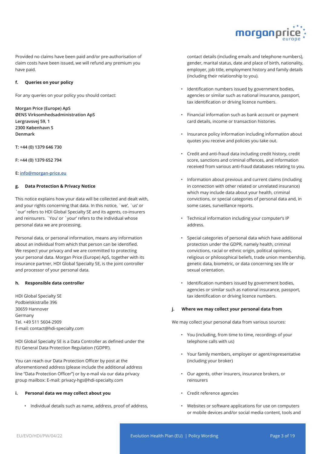

Provided no claims have been paid and/or pre-authorisation of claim costs have been issued, we will refund any premium you have paid.

#### **f. Queries on your policy**

For any queries on your policy you should contact:

**Morgan Price (Europe) ApS ØENS Virksomhedsadministration ApS Lergravsvej 59, 1 2300 København S Denmark**

**T: +44 (0) 1379 646 730**

**F: +44 (0) 1379 652 794**

#### **E: info@morgan-price.eu**

#### **g. Data Protection & Privacy Notice**

This notice explains how your data will be collected and dealt with, and your rights concerning that data. In this notice, `we', `us' or `our' refers to HDI Global Specialty SE and its agents, co-insurers and reinsurers. `You' or `your' refers to the individual whose personal data we are processing.

Personal data, or personal information, means any information about an individual from which that person can be identified. We respect your privacy and we are committed to protecting your personal data. Morgan Price (Europe) ApS, together with its insurance partner, HDI Global Specialty SE, is the joint controller and processor of your personal data.

#### **h. Responsible data controller**

HDI Global Specialty SE Podbielskistraße 396 30659 Hannover Germany Tel. +49 511 5604-2909 E-mail: contact@hdi-specialty.com

HDI Global Specialty SE is a Data Controller as defined under the EU General Data Protection Regulation ('GDPR').

You can reach our Data Protection Officer by post at the aforementioned address (please include the additional address line "Data Protection Officer") or by e-mail via our data privacy group mailbox: E-mail: privacy-hgs@hdi-specialty.com

#### **i. Personal data we may collect about you**

• Individual details such as name, address, proof of address,

contact details (including emails and telephone numbers), gender, marital status, date and place of birth, nationality, employer, job title, employment history and family details (including their relationship to you).

- Identification numbers issued by government bodies, agencies or similar such as national insurance, passport, tax identification or driving licence numbers.
- Financial information such as bank account or payment card details, income or transaction histories.
- Insurance policy information including information about quotes you receive and policies you take out.
- Credit and anti-fraud data including credit history, credit score, sanctions and criminal offences, and information received from various anti-fraud databases relating to you.
- Information about previous and current claims (including in connection with other related or unrelated insurance) which may include data about your health, criminal convictions, or special categories of personal data and, in some cases, surveillance reports.
- Technical information including your computer's IP address.
- Special categories of personal data which have additional protection under the GDPR, namely health, criminal convictions, racial or ethnic origin, political opinions, religious or philosophical beliefs, trade union membership, genetic data, biometric, or data concerning sex life or sexual orientation.
- Identification numbers issued by government bodies, agencies or similar such as national insurance, passport, tax identification or driving licence numbers.

#### **j. Where we may collect your personal data from**

We may collect your personal data from various sources:

- You (including, from time to time, recordings of your telephone calls with us)
- Your family members, employer or agent/representative (including your broker)
- Our agents, other insurers, insurance brokers, or reinsurers
- Credit reference agencies
- Websites or software applications for use on computers or mobile devices and/or social media content, tools and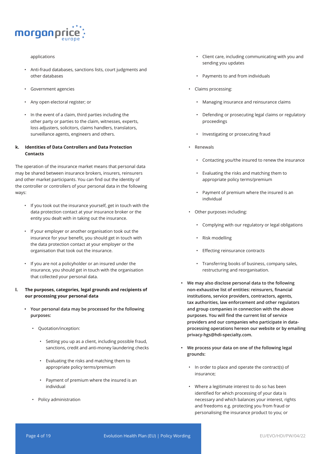

## applications

- Anti-fraud databases, sanctions lists, court judgments and other databases
- Government agencies
- Any open electoral register; or
- In the event of a claim, third parties including the other party or parties to the claim, witnesses, experts, loss adjusters, solicitors, claims handlers, translators, surveillance agents, engineers and others.

## **k. Identities of Data Controllers and Data Protection Contacts**

The operation of the insurance market means that personal data may be shared between insurance brokers, insurers, reinsurers and other market participants. You can find out the identity of the controller or controllers of your personal data in the following ways:

- If you took out the insurance yourself, get in touch with the data protection contact at your insurance broker or the entity you dealt with in taking out the insurance.
- If your employer or another organisation took out the insurance for your benefit, you should get in touch with the data protection contact at your employer or the organisation that took out the insurance.
- If you are not a policyholder or an insured under the insurance, you should get in touch with the organisation that collected your personal data.

## **l. The purposes, categories, legal grounds and recipients of our processing your personal data**

- **• Your personal data may be processed for the following purposes:** 
	- Quotation/inception:
		- Setting you up as a client, including possible fraud, sanctions, credit and anti-money laundering checks
		- Evaluating the risks and matching them to appropriate policy terms/premium
		- Payment of premium where the insured is an individual
	- Policy administration
- Client care, including communicating with you and sending you updates
- Payments to and from individuals
- Claims processing:
	- Managing insurance and reinsurance claims
	- Defending or prosecuting legal claims or regulatory proceedings
	- Investigating or prosecuting fraud
- Renewals
	- Contacting you/the insured to renew the insurance
	- Evaluating the risks and matching them to appropriate policy terms/premium
	- Payment of premium where the insured is an individual
- Other purposes including:
	- Complying with our regulatory or legal obligations
	- Risk modelling
	- Effecting reinsurance contracts
	- Transferring books of business, company sales, restructuring and reorganisation.
- **• We may also disclose personal data to the following non-exhaustive list of entities: reinsurers, financial institutions, service providers, contractors, agents, tax authorities, law enforcement and other regulators and group companies in connection with the above purposes. You will find the current list of service providers and our companies who participate in dataprocessing operations hereon our website or by emailing privacy-hgs@hdi-specialty.com.**
- **• We process your data on one of the following legal grounds:**
	- In order to place and operate the contract(s) of insurance;
	- Where a legitimate interest to do so has been identified for which processing of your data is necessary and which balances your interest, rights and freedoms e.g. protecting you from fraud or personalising the insurance product to you; or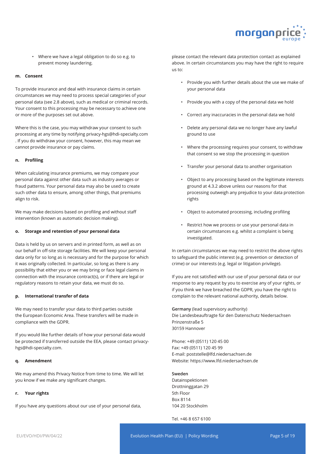

• Where we have a legal obligation to do so e.g. to prevent money laundering.

#### **m. Consent**

To provide insurance and deal with insurance claims in certain circumstances we may need to process special categories of your personal data (see 2.8 above), such as medical or criminal records. Your consent to this processing may be necessary to achieve one or more of the purposes set out above.

Where this is the case, you may withdraw your consent to such processing at any time by notifying privacy-hgs@hdi-specialty.com . If you do withdraw your consent, however, this may mean we cannot provide insurance or pay claims.

#### **n. Profiling**

When calculating insurance premiums, we may compare your personal data against other data such as industry averages or fraud patterns. Your personal data may also be used to create such other data to ensure, among other things, that premiums align to risk.

We may make decisions based on profiling and without staff intervention (known as automatic decision making).

#### **o. Storage and retention of your personal data**

Data is held by us on servers and in printed form, as well as on our behalf in off-site storage facilities. We will keep your personal data only for so long as is necessary and for the purpose for which it was originally collected. In particular, so long as there is any possibility that either you or we may bring or face legal claims in connection with the insurance contract(s), or if there are legal or regulatory reasons to retain your data, we must do so.

#### **p. International transfer of data**

We may need to transfer your data to third parties outside the European Economic Area. These transfers will be made in compliance with the GDPR.

If you would like further details of how your personal data would be protected if transferred outside the EEA, please contact privacyhgs@hdi-specialty.com.

#### **q. Amendment**

We may amend this Privacy Notice from time to time. We will let you know if we make any significant changes.

## **r. Your rights**

If you have any questions about our use of your personal data,

please contact the relevant data protection contact as explained above. In certain circumstances you may have the right to require us to:

- Provide you with further details about the use we make of your personal data
- Provide you with a copy of the personal data we hold
- Correct any inaccuracies in the personal data we hold
- Delete any personal data we no longer have any lawful ground to use
- Where the processing requires your consent, to withdraw that consent so we stop the processing in question
- Transfer your personal data to another organisation
- Object to any processing based on the legitimate interests ground at 4.3.2 above unless our reasons for that processing outweigh any prejudice to your data protection rights
- Object to automated processing, including profiling
- Restrict how we process or use your personal data in certain circumstances e.g. whilst a complaint is being investigated.

In certain circumstances we may need to restrict the above rights to safeguard the public interest (e.g. prevention or detection of crime) or our interests (e.g. legal or litigation privilege).

If you are not satisfied with our use of your personal data or our response to any request by you to exercise any of your rights, or if you think we have breached the GDPR, you have the right to complain to the relevant national authority, details below.

**Germany** (lead supervisory authority) Die Landesbeauftragte für den Datenschutz Niedersachsen Prinzenstraße 5 30159 Hannover

Phone: +49 (0511) 120 45 00 Fax: +49 (0511) 120 45 99 E-mail: poststelle@lfd.niedersachsen.de Website: https://www.lfd.niedersachsen.de

#### **Sweden**

Datainspektionen Drottninggatan 29 5th Floor Box 8114 104 20 Stockholm

Tel. +46 8 657 6100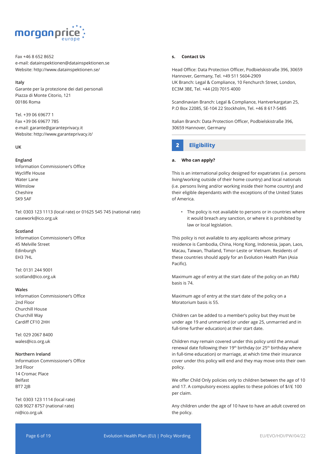

Fax +46 8 652 8652 e-mail: datainspektionen@datainspektionen.se Website: http://www.datainspektionen.se/

#### **Italy**

Garante per la protezione dei dati personali Piazza di Monte Citorio, 121 00186 Roma

Tel. +39 06 69677 1 Fax +39 06 69677 785 e-mail: garante@garanteprivacy.it Website: http://www.garanteprivacy.it/

#### **UK**

## **England**

Information Commissioner's Office Wycliffe House Water Lane Wilmslow Cheshire SK9 5AF

Tel: 0303 123 1113 (local rate) or 01625 545 745 (national rate) casework@ico.org.uk

#### **Scotland**

Information Commissioner's Office 45 Melville Street Edinburgh EH3 7HL

Tel: 0131 244 9001 scotland@ico.org.uk

#### **Wales**

Information Commissioner's Office 2nd Floor Churchill House Churchill Way Cardiff CF10 2HH

Tel: 029 2067 8400 wales@ico.org.uk

#### **Northern Ireland**

Information Commissioner's Office 3rd Floor 14 Cromac Place Belfast BT7 2JB

Tel: 0303 123 1114 (local rate) 028 9027 8757 (national rate) ni@ico.org.uk

#### **s. Contact Us**

Head Office: Data Protection Officer, Podbielskistraße 396, 30659 Hannover, Germany, Tel. +49 511 5604-2909 UK Branch: Legal & Compliance, 10 Fenchurch Street, London, EC3M 3BE, Tel. +44 (20) 7015 4000

Scandinavian Branch: Legal & Compliance, Hantverkargatan 25, P.O Box 22085, SE-104 22 Stockholm, Tel. +46 8 617-5485

Italian Branch: Data Protection Officer, Podbielskistraße 396, 30659 Hannover, Germany

## **2 Eligibility**

#### **a. Who can apply?**

This is an international policy designed for expatriates (i.e. persons living/working outside of their home country) and local nationals (i.e. persons living and/or working inside their home country) and their eligible dependants with the exceptions of the United States of America.

• The policy is not available to persons or in countries where it would breach any sanction, or where it is prohibited by law or local legislation.

This policy is not available to any applicants whose primary residence is Cambodia, China, Hong Kong, Indonesia, Japan, Laos, Macau, Taiwan, Thailand, Timor-Leste or Vietnam. Residents of these countries should apply for an Evolution Health Plan (Asia Pacific).

Maximum age of entry at the start date of the policy on an FMU basis is 74.

Maximum age of entry at the start date of the policy on a Moratorium basis is 55.

Children can be added to a member's policy but they must be under age 19 and unmarried (or under age 25, unmarried and in full-time further education) at their start date.

Children may remain covered under this policy until the annual renewal date following their 19<sup>th</sup> birthday (or 25<sup>th</sup> birthday where in full-time education) or marriage, at which time their insurance cover under this policy will end and they may move onto their own policy.

We offer Child Only policies only to children between the age of 10 and 17. A compulsory excess applies to these policies of \$//£ 100 per claim.

Any children under the age of 10 have to have an adult covered on the policy.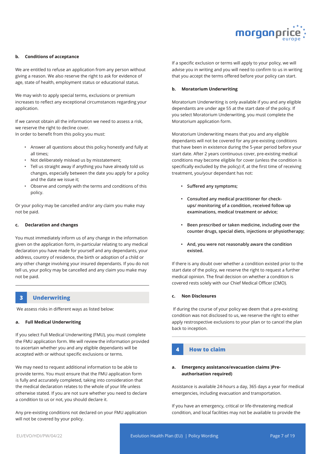

#### **b. Conditions of acceptance**

We are entitled to refuse an application from any person without giving a reason. We also reserve the right to ask for evidence of age, state of health, employment status or educational status.

We may wish to apply special terms, exclusions or premium increases to reflect any exceptional circumstances regarding your application.

If we cannot obtain all the information we need to assess a risk, we reserve the right to decline cover.

In order to benefit from this policy you must:

- Answer all questions about this policy honestly and fully at all times;
- Not deliberately mislead us by misstatement;
- Tell us straight away if anything you have already told us changes, especially between the date you apply for a policy and the date we issue it;
- Observe and comply with the terms and conditions of this policy.

Or your policy may be cancelled and/or any claim you make may not be paid.

#### **c. Declaration and changes**

You must immediately inform us of any change in the information given on the application form, in-particular relating to any medical declaration you have made for yourself and any dependants, your address, country of residence, the birth or adoption of a child or any other change involving your insured dependants. If you do not tell us, your policy may be cancelled and any claim you make may not be paid.

## **3 Underwriting**

We assess risks in different ways as listed below:

#### **a. Full Medical Underwriting**

If you select Full Medical Underwriting (FMU), you must complete the FMU application form. We will review the information provided to ascertain whether you and any eligible dependants will be accepted with or without specific exclusions or terms.

We may need to request additional information to be able to provide terms. You must ensure that the FMU application form is fully and accurately completed, taking into consideration that the medical declaration relates to the whole of your life unless otherwise stated. If you are not sure whether you need to declare a condition to us or not, you should declare it.

Any pre-existing conditions not declared on your FMU application will not be covered by your policy.

If a specific exclusion or terms will apply to your policy, we will advise you in writing and you will need to confirm to us in writing that you accept the terms offered before your policy can start.

#### **b. Moratorium Underwriting**

Moratorium Underwriting is only available if you and any eligible dependants are under age 55 at the start date of the policy. If you select Moratorium Underwriting, you must complete the Moratorium application form.

Moratorium Underwriting means that you and any eligible dependants will not be covered for any pre-existing conditions that have been in existence during the 5-year period before your start date. After 2 years continuous cover, pre-existing medical conditions may become eligible for cover (unless the condition is specifically excluded by the policy) if, at the first time of receiving treatment, you/your dependant has not:

- **• Suffered any symptoms;**
- **• Consulted any medical practitioner for checkups/ monitoring of a condition, received follow up examinations, medical treatment or advice;**
- **• Been prescribed or taken medicine, including over the counter drugs, special diets, injections or physiotherapy;**
- **• And, you were not reasonably aware the condition existed.**

If there is any doubt over whether a condition existed prior to the start date of the policy, we reserve the right to request a further medical opinion. The final decision on whether a condition is covered rests solely with our Chief Medical Officer (CMO).

#### **c. Non Disclosures**

 If during the course of your policy we deem that a pre-existing condition was not disclosed to us, we reserve the right to either apply restrospective exclusions to your plan or to cancel the plan back to inception.

## **4 How to claim**

## **a. Emergency assistance/evacuation claims )Preauthorisation required)**

Assistance is available 24-hours a day, 365 days a year for medical emergencies, including evacuation and transportation.

If you have an emergency, critical or life-threatening medical condition, and local facilities may not be available to provide the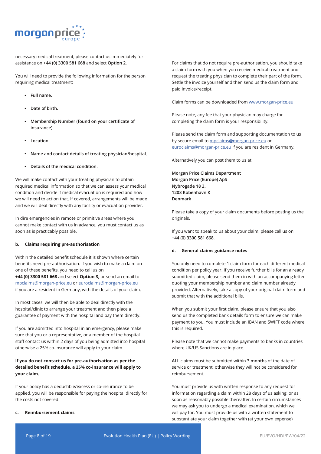

necessary medical treatment, please contact us immediately for assistance on **+44 (0) 3300 581 668** and select **Option 2**.

You will need to provide the following information for the person requiring medical treatment:

- **• Full name.**
- **• Date of birth.**
- **• Membership Number (found on your certificate of insurance).**
- **• Location.**
- **• Name and contact details of treating physician/hospital.**
- **• Details of the medical condition.**

We will make contact with your treating physician to obtain required medical information so that we can assess your medical condition and decide if medical evacuation is required and how we will need to action that. If covered, arrangements will be made and we will deal directly with any facility or evacuation provider.

In dire emergencies in remote or primitive areas where you cannot make contact with us in advance, you must contact us as soon as is practicably possible.

## **b. Claims requiring pre-authorisation**

Within the detailed benefit schedule it is shown where certain benefits need pre-authorisation. If you wish to make a claim on one of these benefits, you need to call us on

**+44 (0) 3300 581 668** and select **Option 3,** or send an email to mpclaims@morgan-price.eu or euroclaims@morgan-price.eu if you are a resident in Germany, with the details of your claim.

In most cases, we will then be able to deal directly with the hospital/clinic to arrange your treatment and then place a guarantee of payment with the hospital and pay them directly.

If you are admitted into hospital in an emergency, please make sure that you or a representative, or a member of the hospital staff contact us within 2 days of you being admitted into hospital otherwise a 25% co-insurance will apply to your claim.

## **If you do not contact us for pre-authorisation as per the detailed benefit schedule, a 25% co-insurance will apply to your claim.**

If your policy has a deductible/excess or co-insurance to be applied, you will be responsible for paying the hospital directly for the costs not covered.

#### **c. Reimbursement claims**

For claims that do not require pre-authorisation, you should take a claim form with you when you receive medical treatment and request the treating physician to complete their part of the form. Settle the invoice yourself and then send us the claim form and paid invoice/receipt.

Claim forms can be downloaded from www.morgan-price.eu

Please note, any fee that your physician may charge for completing the claim form is your responsibility.

Please send the claim form and supporting documentation to us by secure email to mpclaims@morgan-price.eu or euroclaims@morgan-price.eu if you are resident in Germany.

Alternatively you can post them to us at:

**Morgan Price Claims Department Morgan Price (Europe) ApS Nybrogade 18 3. 1203 Kobenhavn K Denmark**

Please take a copy of your claim documents before posting us the originals.

If you want to speak to us about your claim, please call us on **+44 (0) 3300 581 668**.

#### **d. General claims guidance notes**

You only need to complete 1 claim form for each different medical condition per policy year. If you receive further bills for an already submitted claim, please send them in with an accompanying letter quoting your membership number and claim number already provided. Alternatively, take a copy of your original claim form and submit that with the additional bills.

When you submit your first claim, please ensure that you also send us the completed bank details form to ensure we can make payment to you. You must include an IBAN and SWIFT code where this is required.

Please note that we cannot make payments to banks in countries where UK/US Sanctions are in place.

**ALL** claims must be submitted within **3 months** of the date of service or treatment, otherwise they will not be considered for reimbursement.

You must provide us with written response to any request for information regarding a claim within 28 days of us asking, or as soon as reasonably possible thereafter. In certain circumstances we may ask you to undergo a medical examination, which we will pay for. You must provide us with a written statement to substantiate your claim together with (at your own expense)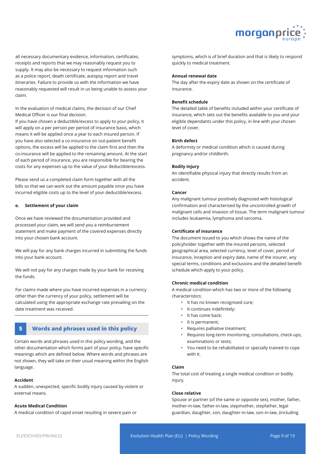

all necessary documentary evidence, information, certificates, receipts and reports that we may reasonably request you to supply. It may also be necessary to request information such as a police report, death certificate, autopsy report and travel itineraries. Failure to provide us with the information we have reasonably requested will result in us being unable to assess your claim.

In the evaluation of medical claims, the decision of our Chief Medical Officer is our final decision.

If you have chosen a deductible/excess to apply to your policy, it will apply on a per person per period of insurance basis, which means it will be applied once a year to each insured person. If you have also selected a co-insurance on out-patient benefit options, the excess will be applied to the claim first and then the co-insurance will be applied to the remaining amount. At the start of each period of insurance, you are responsible for bearing the costs for any expenses up to the value of your deductible/excess.

Please send us a completed claim form together with all the bills so that we can work out the amount payable once you have incurred eligible costs up to the level of your deductible/excess.

## **e. Settlement of your claim**

Once we have reviewed the documentation provided and processed your claim, we will send you a reimbursement statement and make payment of the covered expenses directly into your chosen bank account.

We will pay for any bank charges incurred in submitting the funds into your bank account.

We will not pay for any charges made by your bank for receiving the funds.

For claims made where you have incurred expenses in a currency other than the currency of your policy, settlement will be calculated using the appropriate exchange rate prevailing on the date treatment was received.

## **5 Words and phrases used in this policy**

Certain words and phrases used in this policy wording, and the other documentation which forms part of your policy, have specific meanings which are defined below. Where words and phrases are not shown, they will take on their usual meaning within the English language.

#### **Accident**

A sudden, unexpected, specific bodily injury caused by violent or external means.

#### **Acute Medical Condition**

A medical condition of rapid onset resulting in severe pain or

symptoms, which is of brief duration and that is likely to respond quickly to medical treatment.

#### **Annual renewal date**

The day after the expiry date as shown on the certificate of insurance.

#### **Benefit schedule**

The detailed table of benefits included within your certificate of insurance, which sets out the benefits available to you and your eligible dependants under this policy, in line with your chosen level of cover.

#### **Birth defect**

A deformity or medical condition which is caused during pregnancy and/or childbirth.

#### **Bodily injury**

An identifiable physical injury that directly results from an accident.

#### **Cancer**

Any malignant tumour positively diagnosed with histological confirmation and characterised by the uncontrolled growth of malignant cells and invasion of tissue. The term malignant tumour includes leukaemia, lymphoma and sarcoma.

#### **Certificate of insurance**

The document issued to you which shows the name of the policyholder together with the insured persons, selected geographical area, selected currency, level of cover, period of insurance, inception and expiry date, name of the insurer, any special terms, conditions and exclusions and the detailed benefit schedule which apply to your policy.

#### **Chronic medical condition**

A medical condition which has two or more of the following characteristics:

- It has no known recognised cure;
- It continues indefinitely;
- It has come back;
- It is permanent;
- Requires palliative treatment;
- Requires long-term monitoring, consultations, check-ups, examinations or tests;
- You need to be rehabilitated or specially trained to cope with it.

#### **Claim**

The total cost of treating a single medical condition or bodily injury.

#### **Close relative**

Spouse or partner (of the same or opposite sex), mother, father, mother-in-law, father-in-law, stepmother, stepfather, legal guardian, daughter, son, daughter-in-law, son-in-law, (including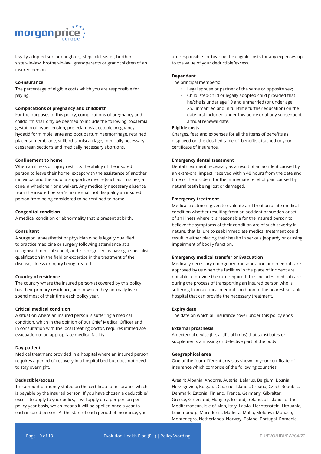

legally adopted son or daughter), stepchild, sister, brother, sister- in-law, brother-in-law, grandparents or grandchildren of an insured person.

#### **Co-insurance**

The percentage of eligible costs which you are responsible for paying.

#### **Complications of pregnancy and childbirth**

For the purposes of this policy, complications of pregnancy and childbirth shall only be deemed to include the following: toxaemia, gestational hypertension, pre-eclampsia, ectopic pregnancy, hydatidiform mole, ante and post partum haemorrhage, retained placenta membrane, stillbirths, miscarriage, medically necessary caesarean sections and medically necessary abortions.

#### **Confinement to home**

When an illness or injury restricts the ability of the insured person to leave their home, except with the assistance of another individual and the aid of a supportive device (such as crutches, a cane, a wheelchair or a walker). Any medically necessary absence from the insured person's home shall not disqualify an insured person from being considered to be confined to home.

#### **Congenital condition**

A medical condition or abnormality that is present at birth.

#### **Consultant**

A surgeon, anaesthetist or physician who is legally qualified to practice medicine or surgery following attendance at a recognised medical school, and is recognised as having a specialist qualification in the field or expertise in the treatment of the disease, illness or injury being treated.

#### **Country of residence**

The country where the insured person(s) covered by this policy has their primary residence, and in which they normally live or spend most of their time each policy year.

#### **Critical medical condition**

A situation where an insured person is suffering a medical condition, which in the opinion of our Chief Medical Officer and in consultation with the local treating doctor, requires immediate evacuation to an appropriate medical facility.

#### **Day-patient**

Medical treatment provided in a hospital where an insured person requires a period of recovery in a hospital bed but does not need to stay overnight.

#### **Deductible/excess**

The amount of money stated on the certificate of insurance which is payable by the insured person. If you have chosen a deductible/ excess to apply to your policy, it will apply on a per person per policy year basis, which means it will be applied once a year to each insured person. At the start of each period of insurance, you

are responsible for bearing the eligible costs for any expenses up to the value of your deductible/excess.

#### **Dependant**

The principal member's:

- Legal spouse or partner of the same or opposite sex;
- Child, step-child or legally adopted child provided that he/she is under age 19 and unmarried (or under age 25, unmarried and in full-time further education) on the date first included under this policy or at any subsequent annual renewal date.

## **Eligible costs**

Charges, fees and expenses for all the items of benefits as displayed on the detailed table of benefits attached to your certificate of insurance.

#### **Emergency dental treatment**

Dental treatment necessary as a result of an accident caused by an extra-oral impact, received within 48 hours from the date and time of the accident for the immediate relief of pain caused by natural teeth being lost or damaged.

#### **Emergency treatment**

Medical treatment given to evaluate and treat an acute medical condition whether resulting from an accident or sudden onset of an illness where it is reasonable for the insured person to believe the symptoms of their condition are of such severity in nature, that failure to seek immediate medical treatment could result in either placing their health in serious jeopardy or causing impairment of bodily function.

#### **Emergency medical transfer or Evacuation**

Medically necessary emergency transportation and medical care approved by us when the facilities in the place of incident are not able to provide the care required. This includes medical care during the process of transporting an insured person who is suffering from a critical medical condition to the nearest suitable hospital that can provide the necessary treatment.

#### **Expiry date**

The date on which all insurance cover under this policy ends

#### **External prosthesis**

An external device (i.e. artificial limbs) that substitutes or supplements a missing or defective part of the body.

#### **Geographical area**

One of the four different areas as shown in your certificate of insurance which comprise of the following countries:

**Area 1:** Albania, Andorra, Austria, Belarus, Belgium, Bosnia Herzegovina, Bulgaria, Channel Islands, Croatia, Czech Republic, Denmark, Estonia, Finland, France, Germany, Gibraltar, Greece, Greenland, Hungary, Iceland, Ireland, all islands of the Mediterranean, Isle of Man, Italy, Latvia, Liechtenstein, Lithuania, Luxembourg, Macedonia, Madeira, Malta, Moldova, Monaco, Montenegro, Netherlands, Norway, Poland, Portugal, Romania,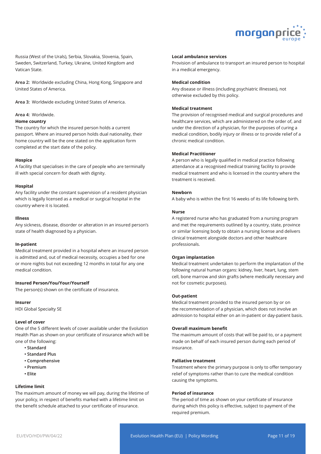

Russia (West of the Urals), Serbia, Slovakia, Slovenia, Spain, Sweden, Switzerland, Turkey, Ukraine, United Kingdom and Vatican State.

**Area 2:** Worldwide excluding China, Hong Kong, Singapore and United States of America.

**Area 3:** Worldwide excluding United States of America.

#### **Area 4:** Worldwide.

#### **Home country**

The country for which the insured person holds a current passport. Where an insured person holds dual nationality, their home country will be the one stated on the application form completed at the start date of the policy.

#### **Hospice**

A facility that specialises in the care of people who are terminally ill with special concern for death with dignity.

#### **Hospital**

Any facility under the constant supervision of a resident physician which is legally licensed as a medical or surgical hospital in the country where it is located.

#### **Illness**

Any sickness, disease, disorder or alteration in an insured person's state of health diagnosed by a physician.

#### **In-patient**

Medical treatment provided in a hospital where an insured person is admitted and, out of medical necessity, occupies a bed for one or more nights but not exceeding 12 months in total for any one medical condition.

#### **Insured Person/You/Your/Yourself**

The person(s) shown on the certificate of insurance.

#### **Insurer**

HDI Global Specialty SE

#### **Level of cover**

One of the 5 different levels of cover available under the Evolution Health Plan as shown on your certificate of insurance which will be one of the following:

- **Standard**
- **Standard Plus**
- **Comprehensive**
- **Premium**
- **Elite**

## **Lifetime limit**

The maximum amount of money we will pay, during the lifetime of your policy, in respect of benefits marked with a lifetime limit on the benefit schedule attached to your certificate of insurance.

#### **Local ambulance services**

Provision of ambulance to transport an insured person to hospital in a medical emergency.

#### **Medical condition**

Any disease or illness (including psychiatric illnesses), not otherwise excluded by this policy.

#### **Medical treatment**

The provision of recognised medical and surgical procedures and healthcare services, which are administered on the order of, and under the direction of a physician, for the purposes of curing a medical condition, bodily injury or illness or to provide relief of a chronic medical condition.

#### **Medical Practitioner**

A person who is legally qualified in medical practice following attendance at a recognised medical training facility to provide medical treatment and who is licensed in the country where the treatment is received.

#### **Newborn**

A baby who is within the first 16 weeks of its life following birth.

#### **Nurse**

A registered nurse who has graduated from a nursing program and met the requirements outlined by a country, state, province or similar licensing body to obtain a nursing license and delivers clinical treatment alongside doctors and other healthcare professionals.

#### **Organ implantation**

Medical treatment undertaken to perform the implantation of the following natural human organs: kidney, liver, heart, lung, stem cell, bone marrow and skin grafts (where medically necessary and not for cosmetic purposes).

#### **Out-patient**

Medical treatment provided to the insured person by or on the recommendation of a physician, which does not involve an admission to hospital either on an in-patient or day-patient basis.

#### **Overall maximum benefit**

The maximum amount of costs that will be paid to, or a payment made on behalf of each insured person during each period of insurance.

## **Palliative treatment**

Treatment where the primary purpose is only to offer temporary relief of symptoms rather than to cure the medical condition causing the symptoms.

#### **Period of insurance**

The period of time as shown on your certificate of insurance during which this policy is effective, subject to payment of the required premium.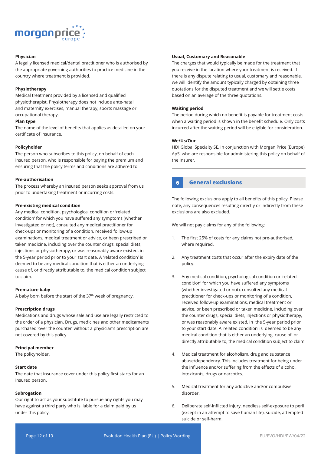

#### **Physician**

A legally licensed medical/dental practitioner who is authorised by the appropriate governing authorities to practice medicine in the country where treatment is provided.

#### **Physiotherapy**

Medical treatment provided by a licensed and qualified physiotherapist. Physiotherapy does not include ante-natal and maternity exercises, manual therapy, sports massage or occupational therapy.

#### **Plan type**

The name of the level of benefits that applies as detailed on your certificate of insurance.

#### **Policyholder**

The person who subscribes to this policy, on behalf of each insured person, who is responsible for paying the premium and ensuring that the policy terms and conditions are adhered to.

#### **Pre-authorisation**

The process whereby an insured person seeks approval from us prior to undertaking treatment or incurring costs.

#### **Pre-existing medical condition**

Any medical condition, psychological condition or 'related condition' for which you have suffered any symptoms (whether investigated or not), consulted any medical practitioner for check-ups or monitoring of a condition, received follow-up examinations, medical treatment or advice, or been prescribed or taken medicine, including over the counter drugs, special diets, injections or physiotherapy, or was reasonably aware existed, in the 5-year period prior to your start date. A 'related condition' is deemed to be any medical condition that is either an underlying cause of, or directly attributable to, the medical condition subject to claim.

## **Premature baby**

A baby born before the start of the 37<sup>th</sup> week of pregnancy.

#### **Prescription drugs**

Medications and drugs whose sale and use are legally restricted to the order of a physician. Drugs, medicines and other medicaments purchased 'over the counter' without a physician's prescription are not covered by this policy.

#### **Principal member**

The policyholder.

#### **Start date**

The date that insurance cover under this policy first starts for an insured person.

#### **Subrogation**

Our right to act as your substitute to pursue any rights you may have against a third party who is liable for a claim paid by us under this policy.

#### **Usual, Customary and Reasonable**

The charges that would typically be made for the treatment that you receive in the location where your treatment is received. If there is any dispute relating to usual, customary and reasonable, we will identify the amount typically charged by obtaining three quotations for the disputed treatment and we will settle costs based on an average of the three quotations.

#### **Waiting period**

The period during which no benefit is payable for treatment costs when a waiting period is shown in the benefit schedule. Only costs incurred after the waiting period will be eligible for consideration.

#### **We/Us/Our**

HDI Global Specialty SE, in conjunction with Morgan Price (Europe) ApS, who are responsible for administering this policy on behalf of the Insurer.

## **6 General exclusions**

The following exclusions apply to all benefits of this policy. Please note, any consequences resulting directly or indirectly from these exclusions are also excluded.

We will not pay claims for any of the following:

- 1. The first 25% of costs for any claims not pre-authorised, where required.
- 2. Any treatment costs that occur after the expiry date of the policy.
- 3. Any medical condition, psychological condition or 'related condition' for which you have suffered any symptoms (whether investigated or not), consulted any medical practitioner for check-ups or monitoring of a condition, received follow-up examinations, medical treatment or advice, or been prescribed or taken medicine, including over the counter drugs, special diets, injections or physiotherapy, or was reasonably aware existed, in the 5-year period prior to your start date. A 'related condition' is deemed to be any medical condition that is either an underlying cause of, or directly attributable to, the medical condition subject to claim.
- 4. Medical treatment for alcoholism, drug and substance abuse/dependency. This includes treatment for being under the influence and/or suffering from the effects of alcohol, intoxicants, drugs or narcotics.
- 5. Medical treatment for any addictive and/or compulsive disorder.
- 6. Deliberate self-inflicted injury, needless self-exposure to peril (except in an attempt to save human life), suicide, attempted suicide or self-harm.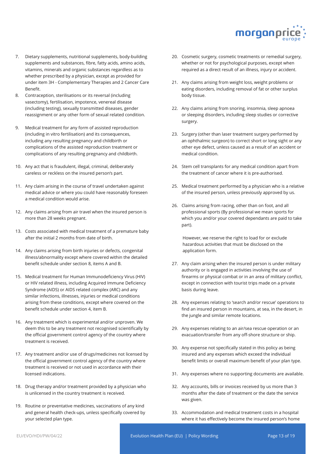

- 7. Dietary supplements, nutritional supplements, body-building supplements and substances, fibre, fatty acids, amino acids, vitamins, minerals and organic substances regardless as to whether prescribed by a physician, except as provided for under item 3H - Complementary Therapies and 2 Cancer Care Benefit.
- 8. Contraception, sterilisations or its reversal (including vasectomy), fertilisation, impotence, venereal disease (including testing), sexually transmitted diseases, gender reassignment or any other form of sexual related condition.
- 9. Medical treatment for any form of assisted reproduction (including in vitro fertilisation) and its consequences, including any resulting pregnancy and childbirth or complications of the assisted reproduction treatment or complications of any resulting pregnancy and childbirth.
- 10. Any act that is fraudulent, illegal, criminal, deliberately careless or reckless on the insured person's part.
- 11. Any claim arising in the course of travel undertaken against medical advice or where you could have reasonably foreseen a medical condition would arise.
- 12. Any claims arising from air travel when the insured person is more than 28 weeks pregnant.
- 13. Costs associated with medical treatment of a premature baby after the initial 2 months from date of birth.
- 14. Any claims arising from birth injuries or defects, congenital illness/abnormality except where covered within the detailed benefit schedule under section 8, items A and B.
- 15. Medical treatment for Human Immunodeficiency Virus (HIV) or HIV related illness, including Acquired Immune Deficiency Syndrome (AIDS) or AIDS related complex (ARC) and any similar infections, illnesses, injuries or medical conditions arising from these conditions, except where covered on the benefit schedule under section 4, item B.
- 16. Any treatment which is experimental and/or unproven. We deem this to be any treatment not recognised scientifically by the official government control agency of the country where treatment is received.
- 17. Any treatment and/or use of drugs/medicines not licensed by the official government control agency of the country where treatment is received or not used in accordance with their licensed indications.
- 18. Drug therapy and/or treatment provided by a physician who is unlicensed in the country treatment is received.
- 19. Routine or preventative medicines, vaccinations of any kind and general health check-ups, unless specifically covered by your selected plan type.
- 20. Cosmetic surgery, cosmetic treatments or remedial surgery, whether or not for psychological purposes, except when required as a direct result of an illness, injury or accident.
- 21. Any claims arising from weight loss, weight problems or eating disorders, including removal of fat or other surplus body tissue.
- 22. Any claims arising from snoring, insomnia, sleep apnoea or sleeping disorders, including sleep studies or corrective surgery.
- 23. Surgery (other than laser treatment surgery performed by an ophthalmic surgeon) to correct short or long sight or any other eye defect, unless caused as a result of an accident or medical condition.
- 24. Stem cell transplants for any medical condition apart from the treatment of cancer where it is pre-authorised.
- 25. Medical treatment performed by a physician who is a relative of the insured person, unless previously approved by us.
- 26. Claims arising from racing, other than on foot, and all professional sports (By professional we mean sports for which you and/or your covered dependants are paid to take part).

However, we reserve the right to load for or exclude hazardous activities that must be disclosed on the application form.

- 27. Any claim arising when the insured person is under military authority or is engaged in activities involving the use of firearms or physical combat or in an area of military conflict, except in connection with tourist trips made on a private basis during leave.
- 28. Any expenses relating to 'search and/or rescue' operations to find an insured person in mountains, at sea, in the desert, in the jungle and similar remote locations.
- 29. Any expenses relating to an air/sea rescue operation or an evacuation/transfer from any off-shore structure or ship.
- 30. Any expense not specifically stated in this policy as being insured and any expenses which exceed the individual benefit limits or overall maximum benefit of your plan type.
- 31. Any expenses where no supporting documents are available.
- 32. Any accounts, bills or invoices received by us more than 3 months after the date of treatment or the date the service was given.
- 33. Accommodation and medical treatment costs in a hospital where it has effectively become the insured person's home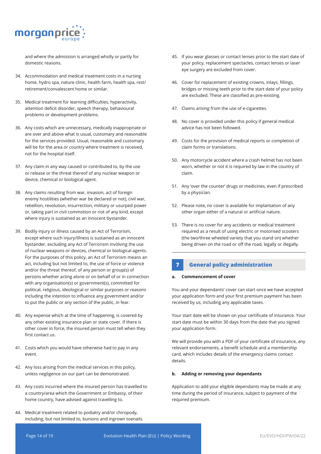

and where the admission is arranged wholly or partly for domestic reasons.

- 34. Accommodation and medical treatment costs in a nursing home, hydro spa, nature clinic, health farm, health spa, rest/ retirement/convalescent home or similar.
- 35. Medical treatment for learning difficulties, hyperactivity, attention deficit disorder, speech therapy, behavioural problems or development problems.
- 36. Any costs which are unnecessary, medically inappropriate or are over and above what is usual, customary and reasonable for the services provided. Usual, reasonable and customary will be for the area or country where treatment is received, not for the hospital itself.
- 37. Any claim in any way caused or contributed to, by the use or release or the threat thereof of any nuclear weapon or device, chemical or biological agent.
- 38. Any claims resulting from war, invasion, act of foreign enemy hostilities (whether war be declared or not), civil war, rebellion, revolution, insurrection, military or usurped power or, taking part in civil commotion or riot of any kind, except where injury is sustained as an innocent bystander.
- 39. Bodily injury or illness caused by an Act of Terrorism, except where such injury/illness is sustained as an innocent bystander, excluding any Act of Terrorism involving the use of nuclear weapons or devices, chemical or biological agents. For the purposes of this policy, an Act of Terrorism means an act, including but not limited to, the use of force or violence and/or the threat thereof, of any person or group(s) of persons whether acting alone or on behalf of or in connection with any organisation(s) or government(s), committed for political, religious, ideological or similar purposes or reasons including the intention to influence any government and/or to put the public or any section of the public, in fear.
- 40. Any expense which at the time of happening, is covered by any other existing insurance plan or state cover. If there is other cover in force, the insured person must tell when they first contact us.
- 41. Costs which you would have otherwise had to pay in any event.
- 42. Any loss arising from the medical services in this policy, unless negligence on our part can be demonstrated.
- 43. Any costs incurred where the insured person has travelled to a country/area which the Government or Embassy, of their home country, have advised against travelling to.
- 44. Medical treatment related to podiatry and/or chiropody, including, but not limited to, bunions and ingrown toenails.
- 45. If you wear glasses or contact lenses prior to the start date of your policy, replacement spectacles, contact lenses or laser eye surgery are excluded from cover.
- 46. Cover for replacement of existing crowns, inlays, fillings, bridges or missing teeth prior to the start date of your policy are excluded. These are classified as pre-existing.
- 47. Claims arising from the use of e-cigarettes.
- 48. No cover is provided under this policy if general medical advice has not been followed.
- 49. Costs for the provision of medical reports or completion of claim forms or translations.
- 50. Any motorcycle accident where a crash helmet has not been worn, whether or not it is required by law in the country of claim.
- 51. Any 'over the counter' drugs or medicines, even if prescribed by a physician.
- 52. Please note, no cover is available for implantation of any other organ either of a natural or artificial nature.
- 53. There is no cover for any accidents or medical treatment required as a result of using electric or motorised scooters (the two/three wheeled variety that you stand on) whether being driven on the road or off the road, legally or illegally.

## **7 General policy administration**

## **a. Commencement of cover**

You and your dependants' cover can start once we have accepted your application form and your first premium payment has been received by us, including any applicable taxes.

Your start date will be shown on your certificate of insurance. Your start date must be within 30 days from the date that you signed your application form.

We will provide you with a PDF of your certificate of insurance, any relevant endorsements, a benefit schedule and a membership card, which includes details of the emergency claims contact details.

## **b. Adding or removing your dependants**

Application to add your eligible dependants may be made at any time during the period of insurance, subject to payment of the required premium.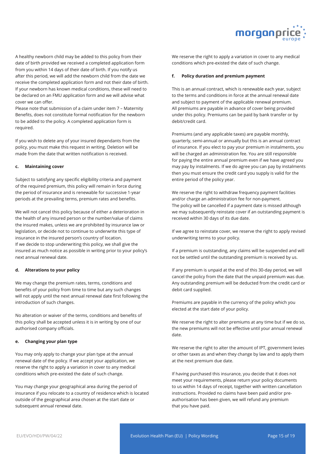

A healthy newborn child may be added to this policy from their date of birth provided we received a completed application form from you within 14 days of their date of birth. If you notify us after this period, we will add the newborn child from the date we receive the completed application form and not their date of birth. If your newborn has known medical conditions, these will need to be declared on an FMU application form and we will advise what cover we can offer.

Please note that submission of a claim under item 7 – Maternity Benefits, does not constitute formal notification for the newborn to be added to the policy. A completed application form is required.

If you wish to delete any of your insured dependants from the policy, you must make this request in writing. Deletion will be made from the date that written notification is received.

#### **c. Maintaining cover**

Subject to satisfying any specific eligibility criteria and payment of the required premium, this policy will remain in force during the period of insurance and is renewable for successive 1-year periods at the prevailing terms, premium rates and benefits.

We will not cancel this policy because of either a deterioration in the health of any insured person or the number/value of claims the insured makes, unless we are prohibited by insurance law or legislation, or decide not to continue to underwrite this type of insurance in the insured person's country of location. If we decide to stop underwriting this policy, we shall give the insured as much notice as possible in writing prior to your policy's next annual renewal date.

#### **d. Alterations to your policy**

We may change the premium rates, terms, conditions and benefits of your policy from time to time but any such changes will not apply until the next annual renewal date first following the introduction of such changes.

No alteration or waiver of the terms, conditions and benefits of this policy shall be accepted unless it is in writing by one of our authorised company officials.

#### **e. Changing your plan type**

You may only apply to change your plan type at the annual renewal date of the policy. If we accept your application, we reserve the right to apply a variation in cover to any medical conditions which pre-existed the date of such change.

You may change your geographical area during the period of insurance if you relocate to a country of residence which is located outside of the geographical area chosen at the start date or subsequent annual renewal date.

We reserve the right to apply a variation in cover to any medical conditions which pre-existed the date of such change.

#### **f. Policy duration and premium payment**

This is an annual contract, which is renewable each year, subject to the terms and conditions in force at the annual renewal date and subject to payment of the applicable renewal premium. All premiums are payable in advance of cover being provided under this policy. Premiums can be paid by bank transfer or by debit/credit card.

Premiums (and any applicable taxes) are payable monthly, quarterly, semi-annual or annually but this is an annual contract of insurance. If you elect to pay your premium in instalments, you will be charged an administration fee. You are still responsible for paying the entire annual premium even if we have agreed you may pay by instalments. If we do agree you can pay by instalments then you must ensure the credit card you supply is valid for the entire period of the policy year.

We reserve the right to withdraw frequency payment facilities and/or charge an administration fee for non-payment. The policy will be cancelled if a payment date is missed although we may subsequently reinstate cover if an outstanding payment is received within 30 days of its due date.

If we agree to reinstate cover, we reserve the right to apply revised underwriting terms to your policy.

If a premium is outstanding, any claims will be suspended and will not be settled until the outstanding premium is received by us.

If any premium is unpaid at the end of this 30-day period, we will cancel the policy from the date that the unpaid premium was due. Any outstanding premium will be deducted from the credit card or debit card supplied.

Premiums are payable in the currency of the policy which you elected at the start date of your policy.

We reserve the right to alter premiums at any time but if we do so, the new premiums will not be effective until your annual renewal date.

We reserve the right to alter the amount of IPT, government levies or other taxes as and when they change by law and to apply them at the next premium due date.

If having purchased this insurance, you decide that it does not meet your requirements, please return your policy documents to us within 14 days of receipt, together with written cancellation instructions. Provided no claims have been paid and/or preauthorisation has been given, we will refund any premium that you have paid.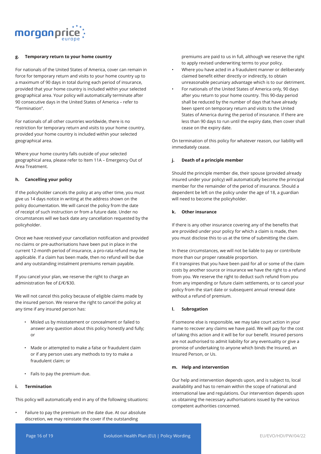

#### **g. Temporary return to your home country**

For nationals of the United States of America, cover can remain in force for temporary return and visits to your home country up to a maximum of 90 days in total during each period of insurance, provided that your home country is included within your selected geographical area. Your policy will automatically terminate after 90 consecutive days in the United States of America – refer to "Termination".

For nationals of all other countries worldwide, there is no restriction for temporary return and visits to your home country, provided your home country is included within your selected geographical area.

Where your home country falls outside of your selected geographical area, please refer to Item 11A – Emergency Out of Area Treatment.

#### **h. Cancelling your policy**

If the policyholder cancels the policy at any other time, you must give us 14 days notice in writing at the address shown on the policy documentation. We will cancel the policy from the date of receipt of such instruction or from a future date. Under no circumstances will we back date any cancellation requested by the policyholder.

Once we have received your cancellation notification and provided no claims or pre-authorisations have been put in place in the current 12-month period of insurance, a pro-rata refund may be applicable. If a claim has been made, then no refund will be due and any outstanding instalment premiums remain payable.

If you cancel your plan, we reserve the right to charge an administration fee of £/€/\$30.

We will not cancel this policy because of eligible claims made by the insured person. We reserve the right to cancel the policy at any time if any insured person has:

- Misled us by misstatement or concealment or failed to answer any question about this policy honestly and fully; or
- Made or attempted to make a false or fraudulent claim or if any person uses any methods to try to make a fraudulent claim; or
- Fails to pay the premium due.

## **i. Termination**

This policy will automatically end in any of the following situations:

• Failure to pay the premium on the date due. At our absolute discretion, we may reinstate the cover if the outstanding

premiums are paid to us in full, although we reserve the right to apply revised underwriting terms to your policy.

- Where you have acted in a fraudulent manner or deliberately claimed benefit either directly or indirectly, to obtain unreasonable pecuniary advantage which is to our detriment.
- For nationals of the United States of America only, 90 days after you return to your home country. This 90-day period shall be reduced by the number of days that have already been spent on temporary return and visits to the United States of America during the period of insurance. If there are less than 90 days to run until the expiry date, then cover shall cease on the expiry date.

On termination of this policy for whatever reason, our liability will immediately cease.

#### **j. Death of a principle member**

Should the principle member die, their spouse (provided already insured under your policy) will automatically become the principal member for the remainder of the period of insurance. Should a dependent be left on the policy under the age of 18, a guardian will need to become the policyholder.

#### **k. Other insurance**

If there is any other insurance covering any of the benefits that are provided under your policy for which a claim is made, then you must disclose this to us at the time of submitting the claim.

In these circumstances, we will not be liable to pay or contribute more than our proper rateable proportion.

If it transpires that you have been paid for all or some of the claim costs by another source or insurance we have the right to a refund from you. We reserve the right to deduct such refund from you from any impending or future claim settlements, or to cancel your policy from the start date or subsequent annual renewal date without a refund of premium.

#### **l. Subrogation**

If someone else is responsible, we may take court action in your name to recover any claims we have paid. We will pay for the cost of taking this action and it will be for our benefit. Insured persons are not authorised to admit liability for any eventuality or give a promise of undertaking to anyone which binds the Insured, an Insured Person, or Us.

#### **m. Help and intervention**

Our help and intervention depends upon, and is subject to, local availability and has to remain within the scope of national and international law and regulations. Our intervention depends upon us obtaining the necessary authorisations issued by the various competent authorities concerned.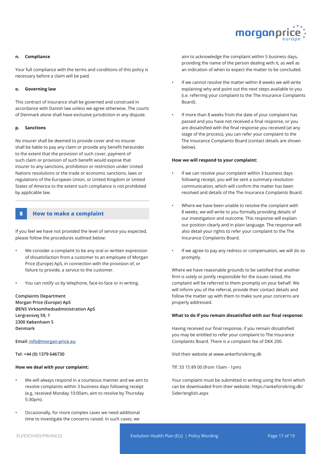

#### **n. Compliance**

Your full compliance with the terms and conditions of this policy is necessary before a claim will be paid.

#### **o. Governing law**

This contract of insurance shall be governed and construed in accordance with Danish law unless we agree otherwise. The courts of Denmark alone shall have exclusive jurisdiction in any dispute.

#### **p. Sanctions**

No insurer shall be deemed to provide cover and no insurer shall be liable to pay any claim or provide any benefit hereunder to the extent that the provision of such cover, payment of such claim or provision of such benefit would expose that insurer to any sanctions, prohibition or restriction under United Nations resolutions or the trade or economic sanctions, laws or regulations of the European Union, or United Kingdom or United States of America to the extent such compliance is not prohibited by applicable law.

## **8 How to make a complaint**

If you feel we have not provided the level of service you expected, please follow the procedures outlined below:

- We consider a complaint to be any oral or written expression of dissatisfaction from a customer to an employee of Morgan Price (Europe) ApS, in connection with the provision of, or failure to provide, a service to the customer.
- You can notify us by telephone, face-to-face or in writing.

**Complaints Department Morgan Price (Europe) ApS ØENS Virksomhedsadministration ApS Lergravsvej 59, 1 2300 København S Denmark**

**Email: info@morgan-price.eu** 

#### **Tel: +44 (0) 1379 646730**

#### **How we deal with your complaint:**

- We will always respond in a courteous manner and we aim to resolve complaints within 3 business days following receipt (e.g. received Monday 10:00am, aim to resolve by Thursday 5:30pm).
- Occasionally, for more complex cases we need additional time to investigate the concerns raised. In such cases, we

aim to acknowledge the complaint within 5 business days, providing the name of the person dealing with it, as well as an indication of when to expect the matter to be concluded.

- If we cannot resolve the matter within 8 weeks we will write explaining why and point out the next steps available to you (i.e. referring your complaint to the The Insurance Complaints Board).
- If more than 8 weeks from the date of your complaint has passed and you have not received a final response, or you are dissatisfied with the final response you received (at any stage of the process), you can refer your complaint to the The Insurance Complaints Board (contact details are shown below).

#### **How we will respond to your complaint:**

- If we can resolve your complaint within 3 business days following receipt, you will be sent a summary resolution communication, which will confirm the matter has been resolved and details of the The Insurance Complaints Board.
- Where we have been unable to resolve the complaint with 8 weeks, we will write to you formally providing details of our investigation and outcome. This response will explain our position clearly and in plain language. The response will also detail your rights to refer your complaint to the The Insurance Complaints Board.
- If we agree to pay any redress or compensation, we will do so promptly.

Where we have reasonable grounds to be satisfied that another firm is solely or jointly responsible for the issues raised, the complaint will be referred to them promptly on your behalf. We will inform you of the referral, provide their contact details and follow the matter up with them to make sure your concerns are properly addressed.

#### **What to do if you remain dissatisfied with our final response:**

Having received our final response, if you remain dissatisfied you may be entitled to refer your complaint to The Insurance Complaints Board. There is a complaint fee of DKK 200.

Visit their website at www.ankerforsikring.dk

Tlf: 33 15 89 00 (from 10am - 1pm)

Your complaint must be submitted in writing using the form which can be downloaded from their website: https://ankeforsikring.dk/ Sider/english.aspx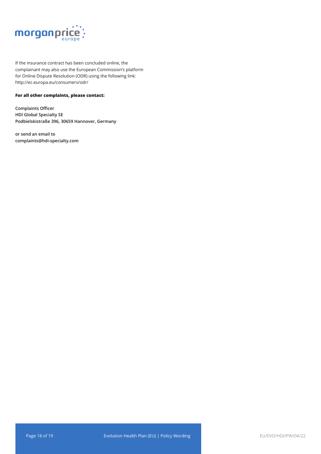

If the insurance contract has been concluded online, the complainant may also use the European Commission's platform for Online Dispute Resolution (ODR) using the following link: http://ec.europa.eu/consumers/odr/

## **For all other complaints, please contact:**

**Complaints Officer HDI Global Specialty SE Podbielskistraße 396, 30659 Hannover, Germany**

**or send an email to complaints@hdi-specialty.com**